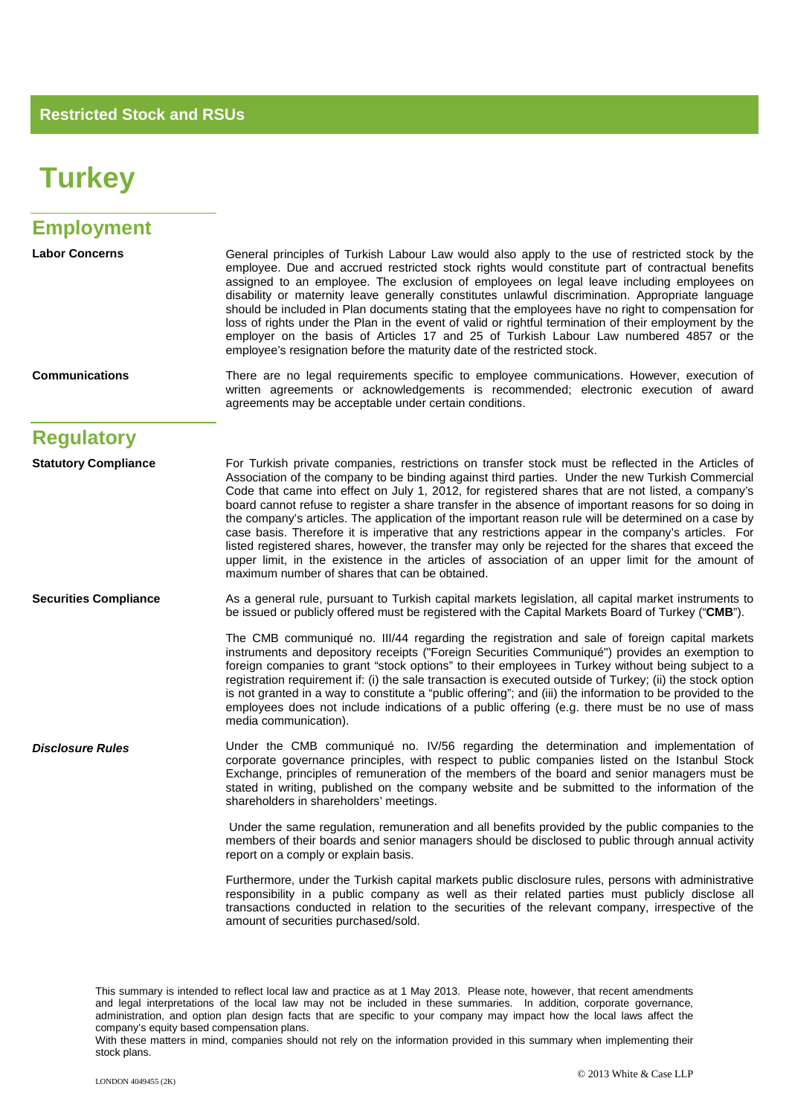## **Turkey**

| <b>Employment</b>            |                                                                                                                                                                                                                                                                                                                                                                                                                                                                                                                                                                                                                                                                                                                                                                                                                                                                                                 |
|------------------------------|-------------------------------------------------------------------------------------------------------------------------------------------------------------------------------------------------------------------------------------------------------------------------------------------------------------------------------------------------------------------------------------------------------------------------------------------------------------------------------------------------------------------------------------------------------------------------------------------------------------------------------------------------------------------------------------------------------------------------------------------------------------------------------------------------------------------------------------------------------------------------------------------------|
| <b>Labor Concerns</b>        | General principles of Turkish Labour Law would also apply to the use of restricted stock by the<br>employee. Due and accrued restricted stock rights would constitute part of contractual benefits<br>assigned to an employee. The exclusion of employees on legal leave including employees on<br>disability or maternity leave generally constitutes unlawful discrimination. Appropriate language<br>should be included in Plan documents stating that the employees have no right to compensation for<br>loss of rights under the Plan in the event of valid or rightful termination of their employment by the<br>employer on the basis of Articles 17 and 25 of Turkish Labour Law numbered 4857 or the<br>employee's resignation before the maturity date of the restricted stock.                                                                                                       |
| <b>Communications</b>        | There are no legal requirements specific to employee communications. However, execution of<br>written agreements or acknowledgements is recommended; electronic execution of award<br>agreements may be acceptable under certain conditions.                                                                                                                                                                                                                                                                                                                                                                                                                                                                                                                                                                                                                                                    |
| <b>Regulatory</b>            |                                                                                                                                                                                                                                                                                                                                                                                                                                                                                                                                                                                                                                                                                                                                                                                                                                                                                                 |
| <b>Statutory Compliance</b>  | For Turkish private companies, restrictions on transfer stock must be reflected in the Articles of<br>Association of the company to be binding against third parties. Under the new Turkish Commercial<br>Code that came into effect on July 1, 2012, for registered shares that are not listed, a company's<br>board cannot refuse to register a share transfer in the absence of important reasons for so doing in<br>the company's articles. The application of the important reason rule will be determined on a case by<br>case basis. Therefore it is imperative that any restrictions appear in the company's articles. For<br>listed registered shares, however, the transfer may only be rejected for the shares that exceed the<br>upper limit, in the existence in the articles of association of an upper limit for the amount of<br>maximum number of shares that can be obtained. |
| <b>Securities Compliance</b> | As a general rule, pursuant to Turkish capital markets legislation, all capital market instruments to<br>be issued or publicly offered must be registered with the Capital Markets Board of Turkey ("CMB").                                                                                                                                                                                                                                                                                                                                                                                                                                                                                                                                                                                                                                                                                     |
|                              | The CMB communiqué no. III/44 regarding the registration and sale of foreign capital markets<br>instruments and depository receipts ("Foreign Securities Communiqué") provides an exemption to<br>foreign companies to grant "stock options" to their employees in Turkey without being subject to a<br>registration requirement if: (i) the sale transaction is executed outside of Turkey; (ii) the stock option<br>is not granted in a way to constitute a "public offering"; and (iii) the information to be provided to the<br>employees does not include indications of a public offering (e.g. there must be no use of mass<br>media communication).                                                                                                                                                                                                                                     |
| <b>Disclosure Rules</b>      | Under the CMB communiqué no. IV/56 regarding the determination and implementation of<br>corporate governance principles, with respect to public companies listed on the Istanbul Stock<br>Exchange, principles of remuneration of the members of the board and senior managers must be<br>stated in writing, published on the company website and be submitted to the information of the<br>shareholders in shareholders' meetings.                                                                                                                                                                                                                                                                                                                                                                                                                                                             |
|                              | Under the same regulation, remuneration and all benefits provided by the public companies to the<br>members of their boards and senior managers should be disclosed to public through annual activity<br>report on a comply or explain basis.                                                                                                                                                                                                                                                                                                                                                                                                                                                                                                                                                                                                                                                   |
|                              | Furthermore, under the Turkish capital markets public disclosure rules, persons with administrative<br>responsibility in a public company as well as their related parties must publicly disclose all<br>transactions conducted in relation to the securities of the relevant company, irrespective of the<br>amount of securities purchased/sold.                                                                                                                                                                                                                                                                                                                                                                                                                                                                                                                                              |
|                              |                                                                                                                                                                                                                                                                                                                                                                                                                                                                                                                                                                                                                                                                                                                                                                                                                                                                                                 |

This summary is intended to reflect local law and practice as at 1 May 2013. Please note, however, that recent amendments and legal interpretations of the local law may not be included in these summaries. In addition, corporate governance, administration, and option plan design facts that are specific to your company may impact how the local laws affect the company's equity based compensation plans.

With these matters in mind, companies should not rely on the information provided in this summary when implementing their stock plans.